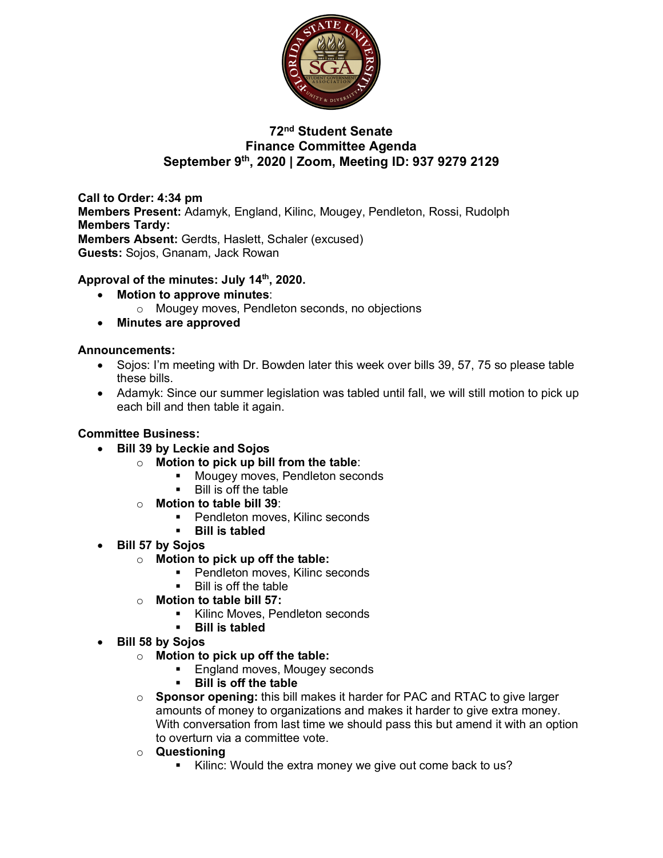

# **72nd Student Senate Finance Committee Agenda September 9th, 2020 | Zoom, Meeting ID: 937 9279 2129**

**Call to Order: 4:34 pm Members Present:** Adamyk, England, Kilinc, Mougey, Pendleton, Rossi, Rudolph **Members Tardy: Members Absent:** Gerdts, Haslett, Schaler (excused) **Guests:** Sojos, Gnanam, Jack Rowan

### **Approval of the minutes: July 14th, 2020.**

- **Motion to approve minutes**:
	- o Mougey moves, Pendleton seconds, no objections
- **Minutes are approved**

#### **Announcements:**

- Sojos: I'm meeting with Dr. Bowden later this week over bills 39, 57, 75 so please table these bills.
- Adamyk: Since our summer legislation was tabled until fall, we will still motion to pick up each bill and then table it again.

#### **Committee Business:**

• **Bill 39 by Leckie and Sojos**

- o **Motion to pick up bill from the table**:
	- Mougey moves, Pendleton seconds
	- Bill is off the table
- o **Motion to table bill 39**:
	- Pendleton moves, Kilinc seconds
	- § **Bill is tabled**
- **Bill 57 by Sojos**
	- o **Motion to pick up off the table:** 
		- Pendleton moves, Kilinc seconds
		- § Bill is off the table
	- o **Motion to table bill 57:** 
		- § Kilinc Moves, Pendleton seconds
		- § **Bill is tabled**
- **Bill 58 by Sojos**
	- o **Motion to pick up off the table:** 
		- England moves, Mougey seconds
		- § **Bill is off the table**
	- o **Sponsor opening:** this bill makes it harder for PAC and RTAC to give larger amounts of money to organizations and makes it harder to give extra money. With conversation from last time we should pass this but amend it with an option to overturn via a committee vote.
	- o **Questioning**
		- Kilinc: Would the extra money we give out come back to us?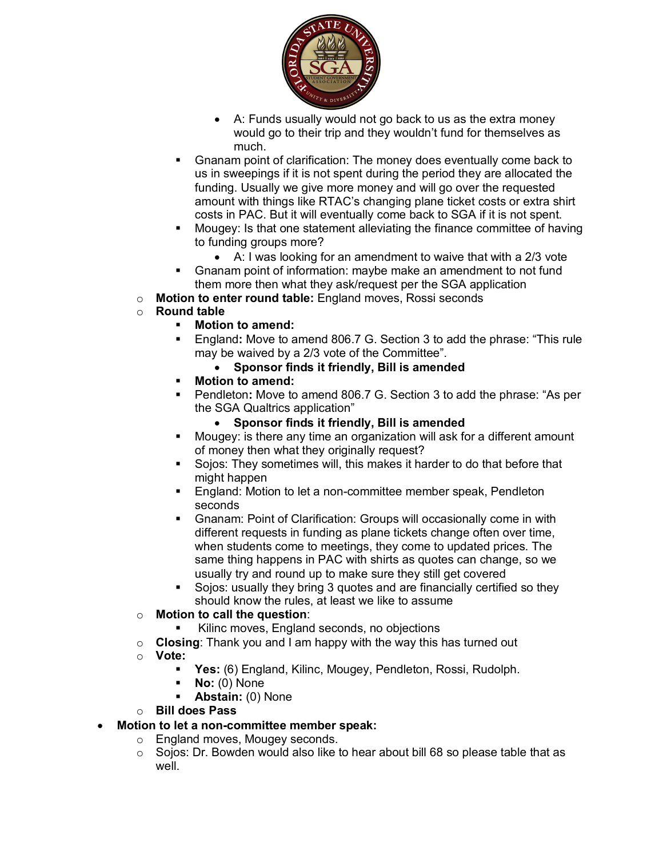

- A: Funds usually would not go back to us as the extra money would go to their trip and they wouldn't fund for themselves as much.
- § Gnanam point of clarification: The money does eventually come back to us in sweepings if it is not spent during the period they are allocated the funding. Usually we give more money and will go over the requested amount with things like RTAC's changing plane ticket costs or extra shirt costs in PAC. But it will eventually come back to SGA if it is not spent.
- § Mougey: Is that one statement alleviating the finance committee of having to funding groups more?
	- A: I was looking for an amendment to waive that with a 2/3 vote
- § Gnanam point of information: maybe make an amendment to not fund them more then what they ask/request per the SGA application
- o **Motion to enter round table:** England moves, Rossi seconds
- o **Round table**
	- § **Motion to amend:**
	- § England**:** Move to amend 806.7 G. Section 3 to add the phrase: "This rule may be waived by a 2/3 vote of the Committee".
		- **Sponsor finds it friendly, Bill is amended**
	- § **Motion to amend:**
	- § Pendleton**:** Move to amend 806.7 G. Section 3 to add the phrase: "As per the SGA Qualtrics application"
		- **Sponsor finds it friendly, Bill is amended**
	- Mougey: is there any time an organization will ask for a different amount of money then what they originally request?
	- § Sojos: They sometimes will, this makes it harder to do that before that might happen
	- England: Motion to let a non-committee member speak, Pendleton seconds
	- § Gnanam: Point of Clarification: Groups will occasionally come in with different requests in funding as plane tickets change often over time, when students come to meetings, they come to updated prices. The same thing happens in PAC with shirts as quotes can change, so we usually try and round up to make sure they still get covered
	- § Sojos: usually they bring 3 quotes and are financially certified so they should know the rules, at least we like to assume
- o **Motion to call the question**:
	- Kilinc moves, England seconds, no objections
- o **Closing**: Thank you and I am happy with the way this has turned out
- o **Vote:** 
	- § **Yes:** (6) England, Kilinc, Mougey, Pendleton, Rossi, Rudolph.
	- § **No:** (0) None
	- § **Abstain:** (0) None
- o **Bill does Pass**
- **Motion to let a non-committee member speak:**
	- o England moves, Mougey seconds.
	- $\circ$  Sojos: Dr. Bowden would also like to hear about bill 68 so please table that as well.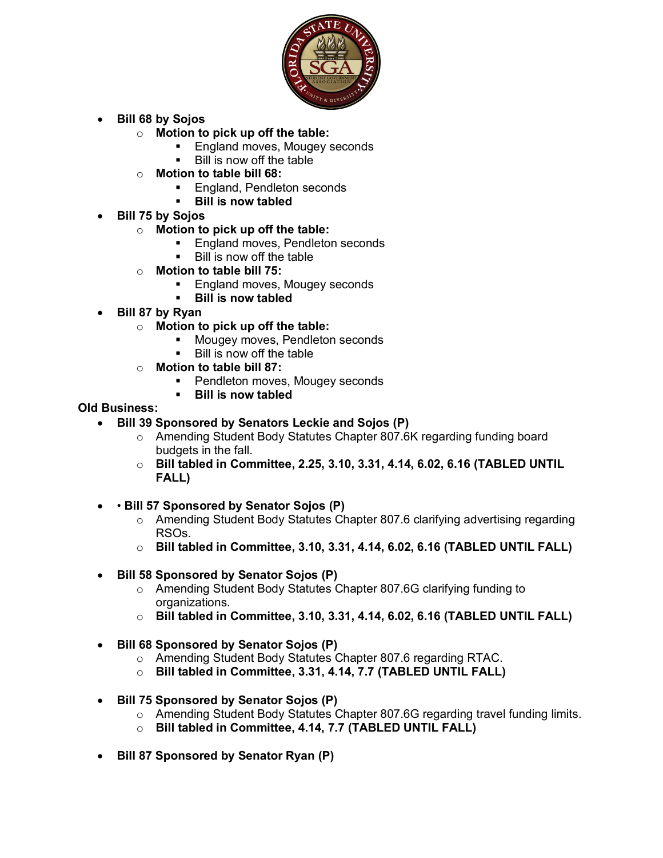

- **Bill 68 by Sojos**
	- o **Motion to pick up off the table:**
		- England moves, Mougey seconds
		- Bill is now off the table
	- o **Motion to table bill 68:** 
		- England, Pendleton seconds
		- § **Bill is now tabled**
- **Bill 75 by Sojos**
	- o **Motion to pick up off the table:** 
		- England moves, Pendleton seconds
		- Bill is now off the table
	- o **Motion to table bill 75:** 
		- England moves, Mougey seconds
		- § **Bill is now tabled**
- **Bill 87 by Ryan**
	- o **Motion to pick up off the table:** 
		- **■** Mougey moves, Pendleton seconds
		- § Bill is now off the table
	- o **Motion to table bill 87:** 
		- Pendleton moves, Mougey seconds
		- § **Bill is now tabled**

#### **Old Business:**

- **Bill 39 Sponsored by Senators Leckie and Sojos (P)**
	- o Amending Student Body Statutes Chapter 807.6K regarding funding board budgets in the fall.
	- o **Bill tabled in Committee, 2.25, 3.10, 3.31, 4.14, 6.02, 6.16 (TABLED UNTIL FALL)**
- • **Bill 57 Sponsored by Senator Sojos (P)**
	- o Amending Student Body Statutes Chapter 807.6 clarifying advertising regarding RSOs.
	- o **Bill tabled in Committee, 3.10, 3.31, 4.14, 6.02, 6.16 (TABLED UNTIL FALL)**
- **Bill 58 Sponsored by Senator Sojos (P)**
	- o Amending Student Body Statutes Chapter 807.6G clarifying funding to organizations.
	- o **Bill tabled in Committee, 3.10, 3.31, 4.14, 6.02, 6.16 (TABLED UNTIL FALL)**
- **Bill 68 Sponsored by Senator Sojos (P)**
	- o Amending Student Body Statutes Chapter 807.6 regarding RTAC.
	- o **Bill tabled in Committee, 3.31, 4.14, 7.7 (TABLED UNTIL FALL)**
- **Bill 75 Sponsored by Senator Sojos (P)**
	- o Amending Student Body Statutes Chapter 807.6G regarding travel funding limits.
	- o **Bill tabled in Committee, 4.14, 7.7 (TABLED UNTIL FALL)**
- **Bill 87 Sponsored by Senator Ryan (P)**